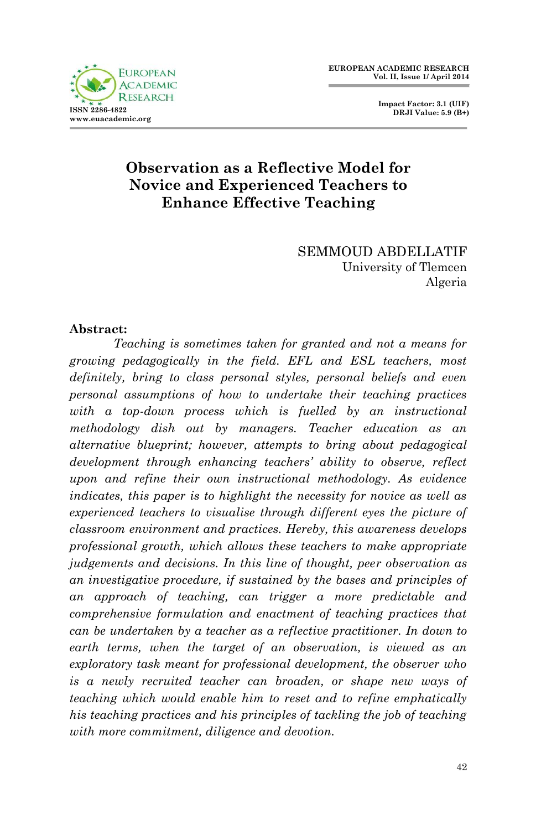

 **Impact Factor: 3.1 (UIF) DRJI Value: 5.9 (B+)**

# **Observation as a Reflective Model for Novice and Experienced Teachers to Enhance Effective Teaching**

SEMMOUD ABDELLATIF University of Tlemcen Algeria

#### **Abstract:**

*Teaching is sometimes taken for granted and not a means for growing pedagogically in the field. EFL and ESL teachers, most definitely, bring to class personal styles, personal beliefs and even personal assumptions of how to undertake their teaching practices with a top-down process which is fuelled by an instructional methodology dish out by managers. Teacher education as an alternative blueprint; however, attempts to bring about pedagogical development through enhancing teachers' ability to observe, reflect upon and refine their own instructional methodology. As evidence indicates, this paper is to highlight the necessity for novice as well as experienced teachers to visualise through different eyes the picture of classroom environment and practices. Hereby, this awareness develops professional growth, which allows these teachers to make appropriate judgements and decisions. In this line of thought, peer observation as an investigative procedure, if sustained by the bases and principles of an approach of teaching, can trigger a more predictable and comprehensive formulation and enactment of teaching practices that can be undertaken by a teacher as a reflective practitioner. In down to earth terms, when the target of an observation, is viewed as an exploratory task meant for professional development, the observer who is a newly recruited teacher can broaden, or shape new ways of teaching which would enable him to reset and to refine emphatically his teaching practices and his principles of tackling the job of teaching with more commitment, diligence and devotion.*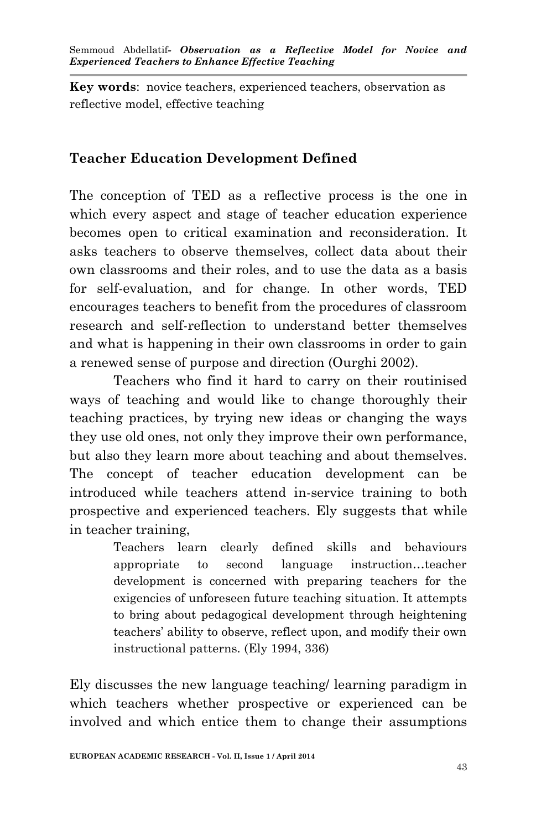**Key words**: novice teachers, experienced teachers, observation as reflective model, effective teaching

# **Teacher Education Development Defined**

The conception of TED as a reflective process is the one in which every aspect and stage of teacher education experience becomes open to critical examination and reconsideration. It asks teachers to observe themselves, collect data about their own classrooms and their roles, and to use the data as a basis for self-evaluation, and for change. In other words, TED encourages teachers to benefit from the procedures of classroom research and self-reflection to understand better themselves and what is happening in their own classrooms in order to gain a renewed sense of purpose and direction (Ourghi 2002).

Teachers who find it hard to carry on their routinised ways of teaching and would like to change thoroughly their teaching practices, by trying new ideas or changing the ways they use old ones, not only they improve their own performance, but also they learn more about teaching and about themselves. The concept of teacher education development can be introduced while teachers attend in-service training to both prospective and experienced teachers. Ely suggests that while in teacher training,

> Teachers learn clearly defined skills and behaviours appropriate to second language instruction…teacher development is concerned with preparing teachers for the exigencies of unforeseen future teaching situation. It attempts to bring about pedagogical development through heightening teachers' ability to observe, reflect upon, and modify their own instructional patterns. (Ely 1994, 336)

Ely discusses the new language teaching/ learning paradigm in which teachers whether prospective or experienced can be involved and which entice them to change their assumptions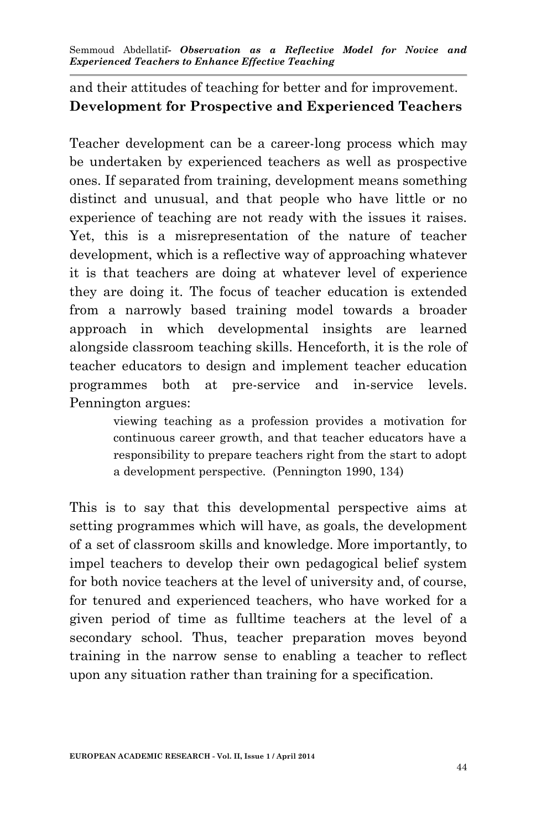and their attitudes of teaching for better and for improvement. **Development for Prospective and Experienced Teachers**

Teacher development can be a career-long process which may be undertaken by experienced teachers as well as prospective ones. If separated from training, development means something distinct and unusual, and that people who have little or no experience of teaching are not ready with the issues it raises. Yet, this is a misrepresentation of the nature of teacher development, which is a reflective way of approaching whatever it is that teachers are doing at whatever level of experience they are doing it. The focus of teacher education is extended from a narrowly based training model towards a broader approach in which developmental insights are learned alongside classroom teaching skills. Henceforth, it is the role of teacher educators to design and implement teacher education programmes both at pre-service and in-service levels. Pennington argues:

> viewing teaching as a profession provides a motivation for continuous career growth, and that teacher educators have a responsibility to prepare teachers right from the start to adopt a development perspective. (Pennington 1990, 134)

This is to say that this developmental perspective aims at setting programmes which will have, as goals, the development of a set of classroom skills and knowledge. More importantly, to impel teachers to develop their own pedagogical belief system for both novice teachers at the level of university and, of course, for tenured and experienced teachers, who have worked for a given period of time as fulltime teachers at the level of a secondary school. Thus, teacher preparation moves beyond training in the narrow sense to enabling a teacher to reflect upon any situation rather than training for a specification.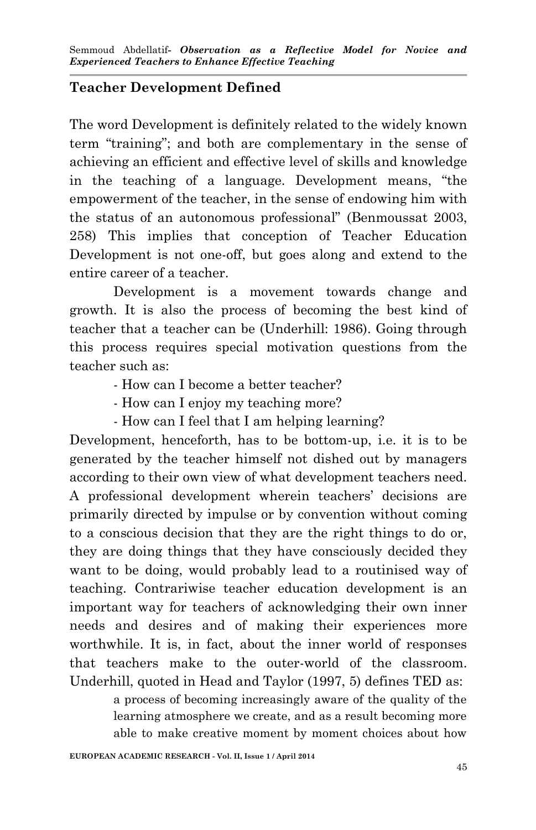# **Teacher Development Defined**

The word Development is definitely related to the widely known term "training"; and both are complementary in the sense of achieving an efficient and effective level of skills and knowledge in the teaching of a language. Development means, "the empowerment of the teacher, in the sense of endowing him with the status of an autonomous professional" (Benmoussat 2003, 258) This implies that conception of Teacher Education Development is not one-off, but goes along and extend to the entire career of a teacher.

Development is a movement towards change and growth. It is also the process of becoming the best kind of teacher that a teacher can be (Underhill: 1986). Going through this process requires special motivation questions from the teacher such as:

- How can I become a better teacher?
- How can I enjoy my teaching more?
- How can I feel that I am helping learning?

Development, henceforth, has to be bottom-up, i.e. it is to be generated by the teacher himself not dished out by managers according to their own view of what development teachers need. A professional development wherein teachers' decisions are primarily directed by impulse or by convention without coming to a conscious decision that they are the right things to do or, they are doing things that they have consciously decided they want to be doing, would probably lead to a routinised way of teaching. Contrariwise teacher education development is an important way for teachers of acknowledging their own inner needs and desires and of making their experiences more worthwhile. It is, in fact, about the inner world of responses that teachers make to the outer-world of the classroom. Underhill, quoted in Head and Taylor (1997, 5) defines TED as:

> a process of becoming increasingly aware of the quality of the learning atmosphere we create, and as a result becoming more able to make creative moment by moment choices about how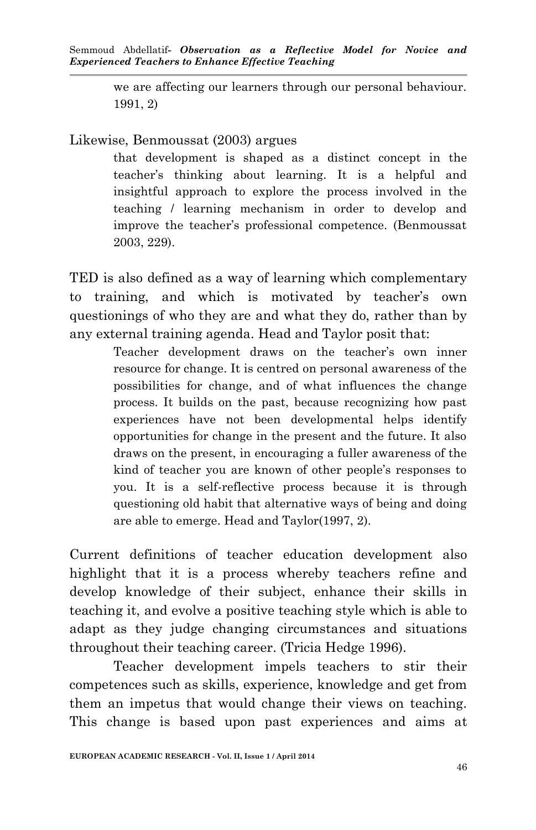we are affecting our learners through our personal behaviour. 1991, 2)

#### Likewise, Benmoussat (2003) argues

that development is shaped as a distinct concept in the teacher's thinking about learning. It is a helpful and insightful approach to explore the process involved in the teaching / learning mechanism in order to develop and improve the teacher's professional competence. (Benmoussat 2003, 229).

TED is also defined as a way of learning which complementary to training, and which is motivated by teacher's own questionings of who they are and what they do, rather than by any external training agenda. Head and Taylor posit that:

> Teacher development draws on the teacher's own inner resource for change. It is centred on personal awareness of the possibilities for change, and of what influences the change process. It builds on the past, because recognizing how past experiences have not been developmental helps identify opportunities for change in the present and the future. It also draws on the present, in encouraging a fuller awareness of the kind of teacher you are known of other people's responses to you. It is a self-reflective process because it is through questioning old habit that alternative ways of being and doing are able to emerge. Head and Taylor(1997, 2).

Current definitions of teacher education development also highlight that it is a process whereby teachers refine and develop knowledge of their subject, enhance their skills in teaching it, and evolve a positive teaching style which is able to adapt as they judge changing circumstances and situations throughout their teaching career. (Tricia Hedge 1996).

Teacher development impels teachers to stir their competences such as skills, experience, knowledge and get from them an impetus that would change their views on teaching. This change is based upon past experiences and aims at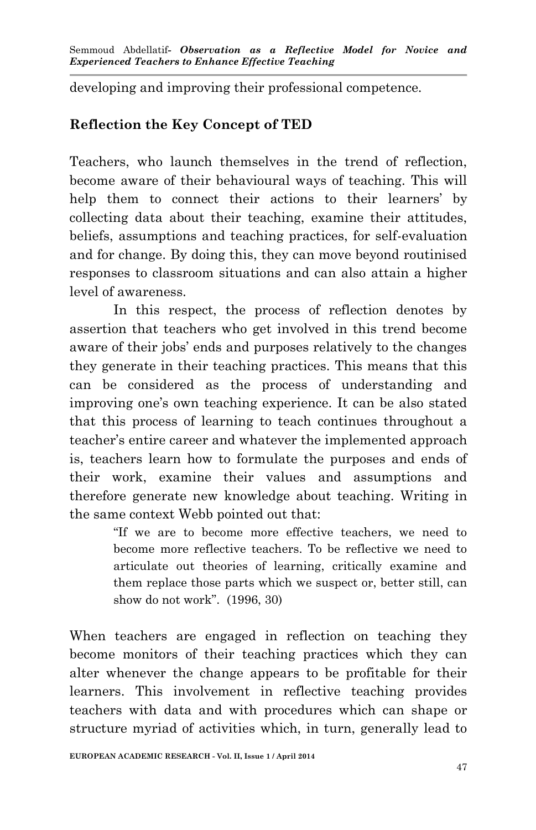developing and improving their professional competence.

# **Reflection the Key Concept of TED**

Teachers, who launch themselves in the trend of reflection, become aware of their behavioural ways of teaching. This will help them to connect their actions to their learners' by collecting data about their teaching, examine their attitudes, beliefs, assumptions and teaching practices, for self-evaluation and for change. By doing this, they can move beyond routinised responses to classroom situations and can also attain a higher level of awareness.

In this respect, the process of reflection denotes by assertion that teachers who get involved in this trend become aware of their jobs' ends and purposes relatively to the changes they generate in their teaching practices. This means that this can be considered as the process of understanding and improving one's own teaching experience. It can be also stated that this process of learning to teach continues throughout a teacher's entire career and whatever the implemented approach is, teachers learn how to formulate the purposes and ends of their work, examine their values and assumptions and therefore generate new knowledge about teaching. Writing in the same context Webb pointed out that:

> "If we are to become more effective teachers, we need to become more reflective teachers. To be reflective we need to articulate out theories of learning, critically examine and them replace those parts which we suspect or, better still, can show do not work". (1996, 30)

When teachers are engaged in reflection on teaching they become monitors of their teaching practices which they can alter whenever the change appears to be profitable for their learners. This involvement in reflective teaching provides teachers with data and with procedures which can shape or structure myriad of activities which, in turn, generally lead to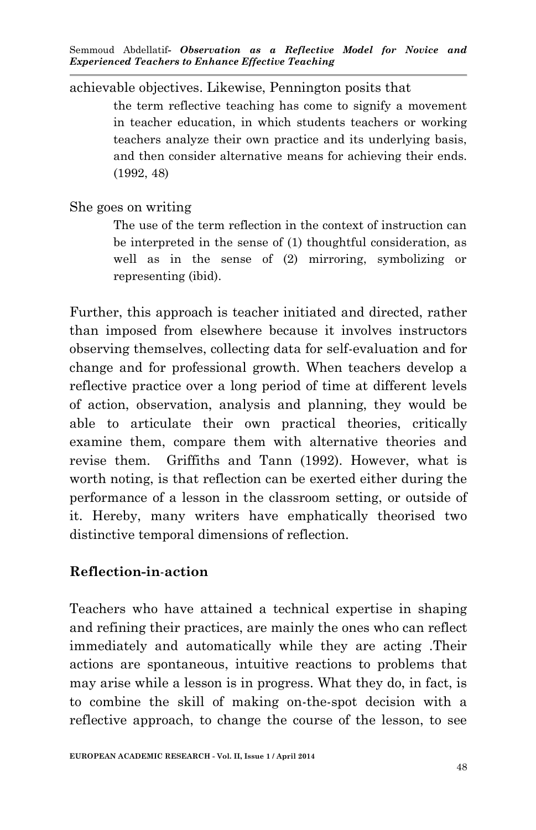achievable objectives. Likewise, Pennington posits that

the term reflective teaching has come to signify a movement in teacher education, in which students teachers or working teachers analyze their own practice and its underlying basis, and then consider alternative means for achieving their ends. (1992, 48)

She goes on writing

The use of the term reflection in the context of instruction can be interpreted in the sense of (1) thoughtful consideration, as well as in the sense of (2) mirroring, symbolizing or representing (ibid).

Further, this approach is teacher initiated and directed, rather than imposed from elsewhere because it involves instructors observing themselves, collecting data for self-evaluation and for change and for professional growth. When teachers develop a reflective practice over a long period of time at different levels of action, observation, analysis and planning, they would be able to articulate their own practical theories, critically examine them, compare them with alternative theories and revise them. Griffiths and Tann (1992). However, what is worth noting, is that reflection can be exerted either during the performance of a lesson in the classroom setting, or outside of it. Hereby, many writers have emphatically theorised two distinctive temporal dimensions of reflection.

### **Reflection-in**-**action**

Teachers who have attained a technical expertise in shaping and refining their practices, are mainly the ones who can reflect immediately and automatically while they are acting .Their actions are spontaneous, intuitive reactions to problems that may arise while a lesson is in progress. What they do, in fact, is to combine the skill of making on-the-spot decision with a reflective approach, to change the course of the lesson, to see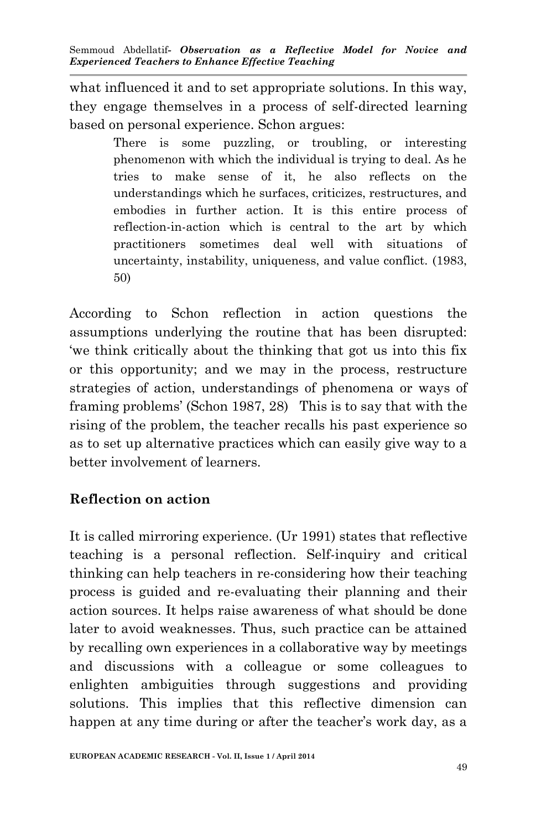what influenced it and to set appropriate solutions. In this way, they engage themselves in a process of self-directed learning based on personal experience. Schon argues:

> There is some puzzling, or troubling, or interesting phenomenon with which the individual is trying to deal. As he tries to make sense of it, he also reflects on the understandings which he surfaces, criticizes, restructures, and embodies in further action. It is this entire process of reflection-in-action which is central to the art by which practitioners sometimes deal well with situations of uncertainty, instability, uniqueness, and value conflict. (1983, 50)

According to Schon reflection in action questions the assumptions underlying the routine that has been disrupted: 'we think critically about the thinking that got us into this fix or this opportunity; and we may in the process, restructure strategies of action, understandings of phenomena or ways of framing problems' (Schon 1987, 28) This is to say that with the rising of the problem, the teacher recalls his past experience so as to set up alternative practices which can easily give way to a better involvement of learners.

# **Reflection on action**

It is called mirroring experience. (Ur 1991) states that reflective teaching is a personal reflection. Self-inquiry and critical thinking can help teachers in re-considering how their teaching process is guided and re-evaluating their planning and their action sources. It helps raise awareness of what should be done later to avoid weaknesses. Thus, such practice can be attained by recalling own experiences in a collaborative way by meetings and discussions with a colleague or some colleagues to enlighten ambiguities through suggestions and providing solutions. This implies that this reflective dimension can happen at any time during or after the teacher's work day, as a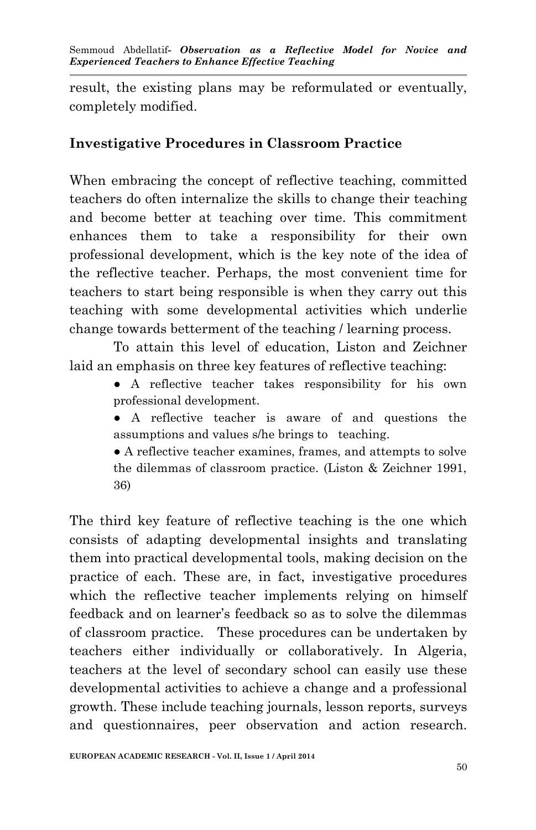result, the existing plans may be reformulated or eventually, completely modified.

#### **Investigative Procedures in Classroom Practice**

When embracing the concept of reflective teaching, committed teachers do often internalize the skills to change their teaching and become better at teaching over time. This commitment enhances them to take a responsibility for their own professional development, which is the key note of the idea of the reflective teacher. Perhaps, the most convenient time for teachers to start being responsible is when they carry out this teaching with some developmental activities which underlie change towards betterment of the teaching / learning process.

To attain this level of education, Liston and Zeichner laid an emphasis on three key features of reflective teaching:

- A reflective teacher takes responsibility for his own professional development.
- A reflective teacher is aware of and questions the assumptions and values s/he brings to teaching.
- A reflective teacher examines, frames, and attempts to solve the dilemmas of classroom practice. (Liston & Zeichner 1991, 36)

The third key feature of reflective teaching is the one which consists of adapting developmental insights and translating them into practical developmental tools, making decision on the practice of each. These are, in fact, investigative procedures which the reflective teacher implements relying on himself feedback and on learner's feedback so as to solve the dilemmas of classroom practice. These procedures can be undertaken by teachers either individually or collaboratively. In Algeria, teachers at the level of secondary school can easily use these developmental activities to achieve a change and a professional growth. These include teaching journals, lesson reports, surveys and questionnaires, peer observation and action research.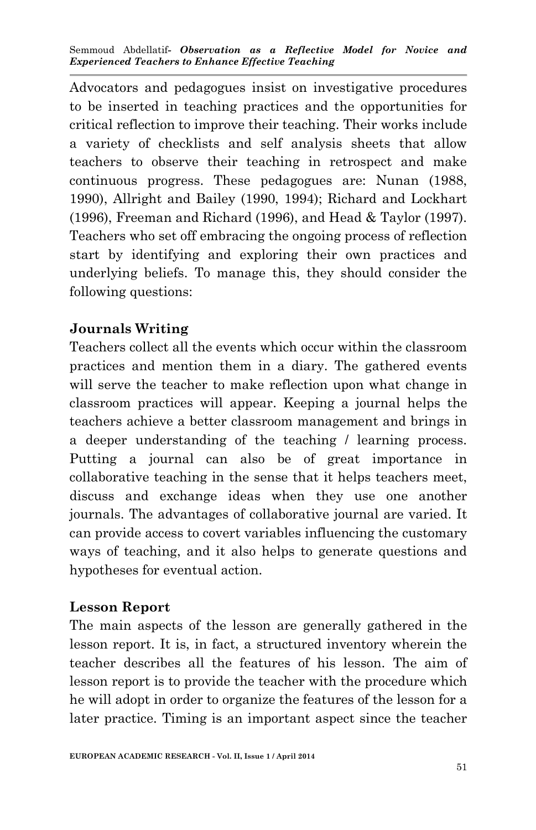Advocators and pedagogues insist on investigative procedures to be inserted in teaching practices and the opportunities for critical reflection to improve their teaching. Their works include a variety of checklists and self analysis sheets that allow teachers to observe their teaching in retrospect and make continuous progress. These pedagogues are: Nunan (1988, 1990), Allright and Bailey (1990, 1994); Richard and Lockhart (1996), Freeman and Richard (1996), and Head & Taylor (1997). Teachers who set off embracing the ongoing process of reflection start by identifying and exploring their own practices and underlying beliefs. To manage this, they should consider the following questions:

# **Journals Writing**

Teachers collect all the events which occur within the classroom practices and mention them in a diary. The gathered events will serve the teacher to make reflection upon what change in classroom practices will appear. Keeping a journal helps the teachers achieve a better classroom management and brings in a deeper understanding of the teaching / learning process. Putting a journal can also be of great importance in collaborative teaching in the sense that it helps teachers meet, discuss and exchange ideas when they use one another journals. The advantages of collaborative journal are varied. It can provide access to covert variables influencing the customary ways of teaching, and it also helps to generate questions and hypotheses for eventual action.

# **Lesson Report**

The main aspects of the lesson are generally gathered in the lesson report. It is, in fact, a structured inventory wherein the teacher describes all the features of his lesson. The aim of lesson report is to provide the teacher with the procedure which he will adopt in order to organize the features of the lesson for a later practice. Timing is an important aspect since the teacher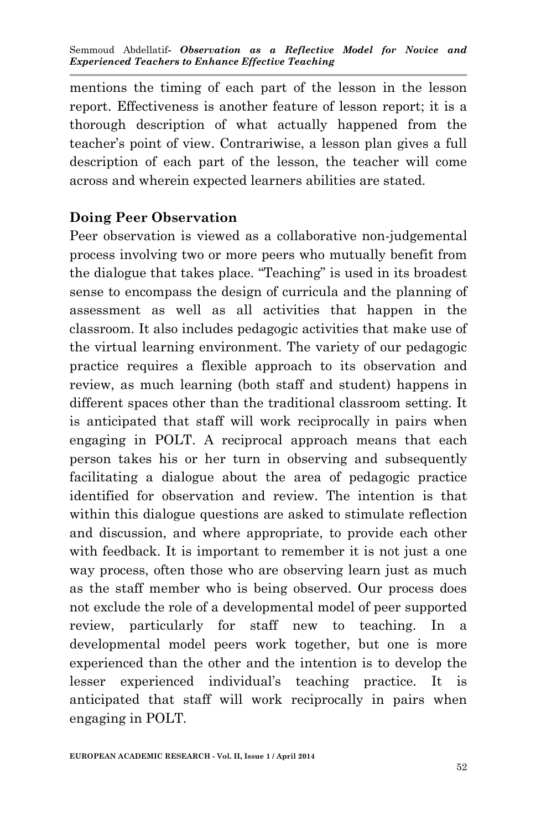mentions the timing of each part of the lesson in the lesson report. Effectiveness is another feature of lesson report; it is a thorough description of what actually happened from the teacher's point of view. Contrariwise, a lesson plan gives a full description of each part of the lesson, the teacher will come across and wherein expected learners abilities are stated.

# **Doing Peer Observation**

Peer observation is viewed as a collaborative non-judgemental process involving two or more peers who mutually benefit from the dialogue that takes place. "Teaching" is used in its broadest sense to encompass the design of curricula and the planning of assessment as well as all activities that happen in the classroom. It also includes pedagogic activities that make use of the virtual learning environment. The variety of our pedagogic practice requires a flexible approach to its observation and review, as much learning (both staff and student) happens in different spaces other than the traditional classroom setting. It is anticipated that staff will work reciprocally in pairs when engaging in POLT. A reciprocal approach means that each person takes his or her turn in observing and subsequently facilitating a dialogue about the area of pedagogic practice identified for observation and review. The intention is that within this dialogue questions are asked to stimulate reflection and discussion, and where appropriate, to provide each other with feedback. It is important to remember it is not just a one way process, often those who are observing learn just as much as the staff member who is being observed. Our process does not exclude the role of a developmental model of peer supported review, particularly for staff new to teaching. In a developmental model peers work together, but one is more experienced than the other and the intention is to develop the lesser experienced individual's teaching practice. It is anticipated that staff will work reciprocally in pairs when engaging in POLT.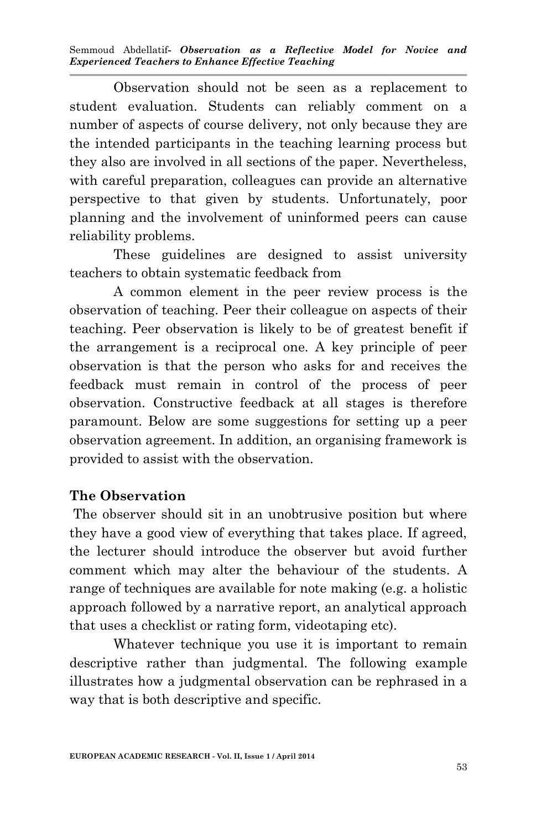Observation should not be seen as a replacement to student evaluation. Students can reliably comment on a number of aspects of course delivery, not only because they are the intended participants in the teaching learning process but they also are involved in all sections of the paper. Nevertheless, with careful preparation, colleagues can provide an alternative perspective to that given by students. Unfortunately, poor planning and the involvement of uninformed peers can cause reliability problems.

These guidelines are designed to assist university teachers to obtain systematic feedback from

 A common element in the peer review process is the observation of teaching. Peer their colleague on aspects of their teaching. Peer observation is likely to be of greatest benefit if the arrangement is a reciprocal one. A key principle of peer observation is that the person who asks for and receives the feedback must remain in control of the process of peer observation. Constructive feedback at all stages is therefore paramount. Below are some suggestions for setting up a peer observation agreement. In addition, an organising framework is provided to assist with the observation.

### **The Observation**

The observer should sit in an unobtrusive position but where they have a good view of everything that takes place. If agreed, the lecturer should introduce the observer but avoid further comment which may alter the behaviour of the students. A range of techniques are available for note making (e.g. a holistic approach followed by a narrative report, an analytical approach that uses a checklist or rating form, videotaping etc).

Whatever technique you use it is important to remain descriptive rather than judgmental. The following example illustrates how a judgmental observation can be rephrased in a way that is both descriptive and specific.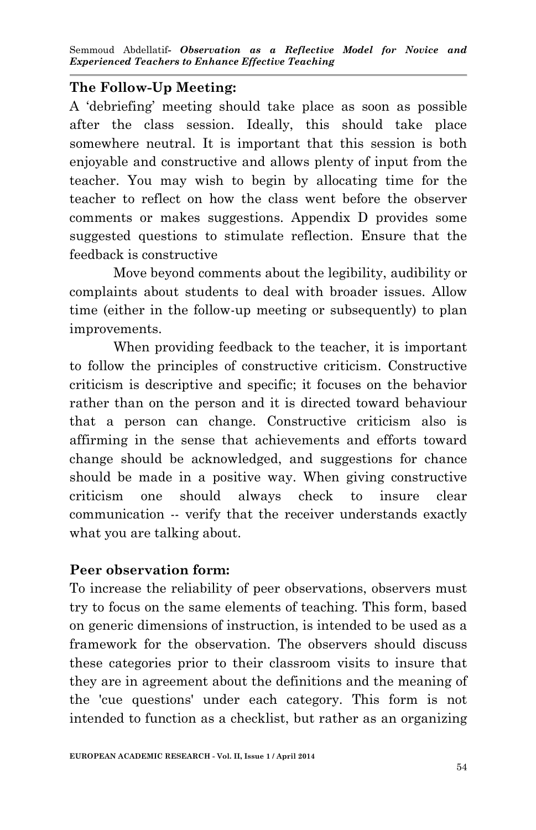### **The Follow-Up Meeting:**

A 'debriefing' meeting should take place as soon as possible after the class session. Ideally, this should take place somewhere neutral. It is important that this session is both enjoyable and constructive and allows plenty of input from the teacher. You may wish to begin by allocating time for the teacher to reflect on how the class went before the observer comments or makes suggestions. Appendix D provides some suggested questions to stimulate reflection. Ensure that the feedback is constructive

Move beyond comments about the legibility, audibility or complaints about students to deal with broader issues. Allow time (either in the follow-up meeting or subsequently) to plan improvements.

When providing feedback to the teacher, it is important to follow the principles of constructive criticism. Constructive criticism is descriptive and specific; it focuses on the behavior rather than on the person and it is directed toward behaviour that a person can change. Constructive criticism also is affirming in the sense that achievements and efforts toward change should be acknowledged, and suggestions for chance should be made in a positive way. When giving constructive criticism one should always check to insure clear communication -- verify that the receiver understands exactly what you are talking about.

### **Peer observation form:**

To increase the reliability of peer observations, observers must try to focus on the same elements of teaching. This form, based on generic dimensions of instruction, is intended to be used as a framework for the observation. The observers should discuss these categories prior to their classroom visits to insure that they are in agreement about the definitions and the meaning of the 'cue questions' under each category. This form is not intended to function as a checklist, but rather as an organizing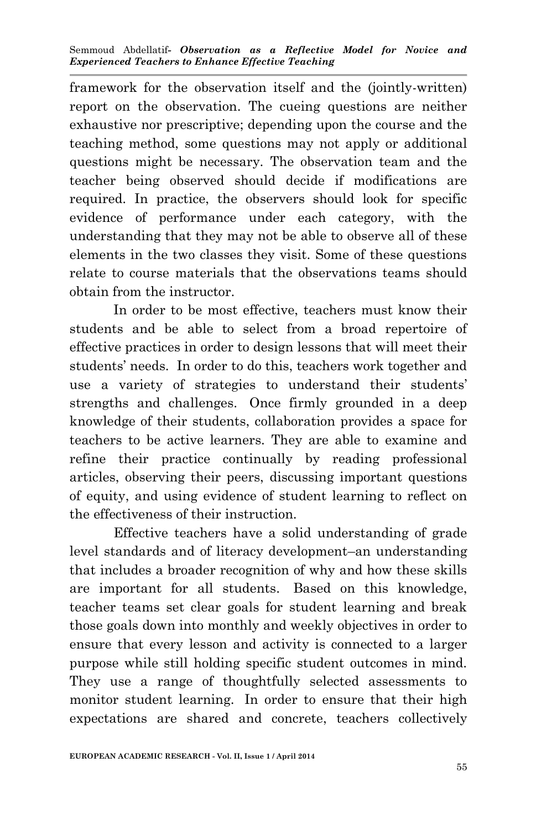framework for the observation itself and the (jointly-written) report on the observation. The cueing questions are neither exhaustive nor prescriptive; depending upon the course and the teaching method, some questions may not apply or additional questions might be necessary. The observation team and the teacher being observed should decide if modifications are required. In practice, the observers should look for specific evidence of performance under each category, with the understanding that they may not be able to observe all of these elements in the two classes they visit. Some of these questions relate to course materials that the observations teams should obtain from the instructor.

 In order to be most effective, teachers must know their students and be able to select from a broad repertoire of effective practices in order to design lessons that will meet their students' needs. In order to do this, teachers work together and use a variety of strategies to understand their students' strengths and challenges. Once firmly grounded in a deep knowledge of their students, collaboration provides a space for teachers to be active learners. They are able to examine and refine their practice continually by reading professional articles, observing their peers, discussing important questions of equity, and using evidence of student learning to reflect on the effectiveness of their instruction.

Effective teachers have a solid understanding of grade level standards and of literacy development–an understanding that includes a broader recognition of why and how these skills are important for all students. Based on this knowledge, teacher teams set clear goals for student learning and break those goals down into monthly and weekly objectives in order to ensure that every lesson and activity is connected to a larger purpose while still holding specific student outcomes in mind. They use a range of thoughtfully selected assessments to monitor student learning. In order to ensure that their high expectations are shared and concrete, teachers collectively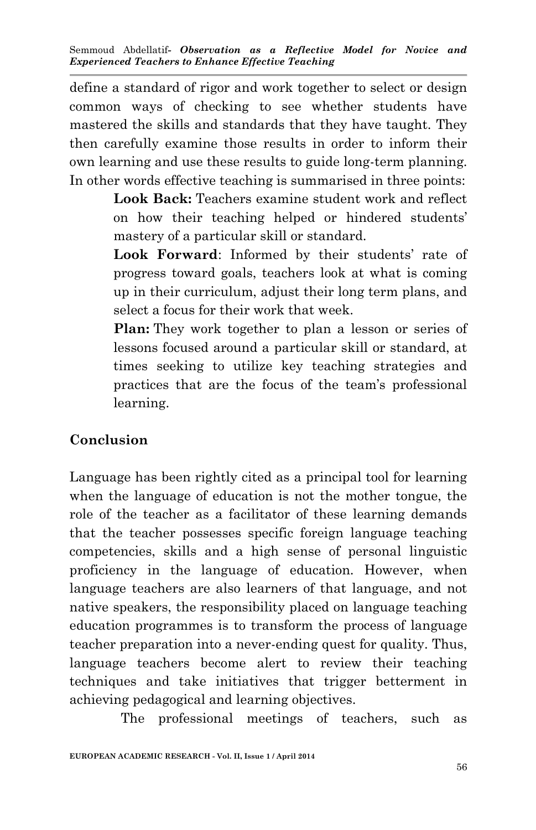define a standard of rigor and work together to select or design common ways of checking to see whether students have mastered the skills and standards that they have taught. They then carefully examine those results in order to inform their own learning and use these results to guide long-term planning. In other words effective teaching is summarised in three points:

> **Look Back:** Teachers examine student work and reflect on how their teaching helped or hindered students' mastery of a particular skill or standard.

> **Look Forward**: Informed by their students' rate of progress toward goals, teachers look at what is coming up in their curriculum, adjust their long term plans, and select a focus for their work that week.

> **Plan:** They work together to plan a lesson or series of lessons focused around a particular skill or standard, at times seeking to utilize key teaching strategies and practices that are the focus of the team's professional learning.

# **Conclusion**

Language has been rightly cited as a principal tool for learning when the language of education is not the mother tongue, the role of the teacher as a facilitator of these learning demands that the teacher possesses specific foreign language teaching competencies, skills and a high sense of personal linguistic proficiency in the language of education. However, when language teachers are also learners of that language, and not native speakers, the responsibility placed on language teaching education programmes is to transform the process of language teacher preparation into a never-ending quest for quality. Thus, language teachers become alert to review their teaching techniques and take initiatives that trigger betterment in achieving pedagogical and learning objectives.

The professional meetings of teachers, such as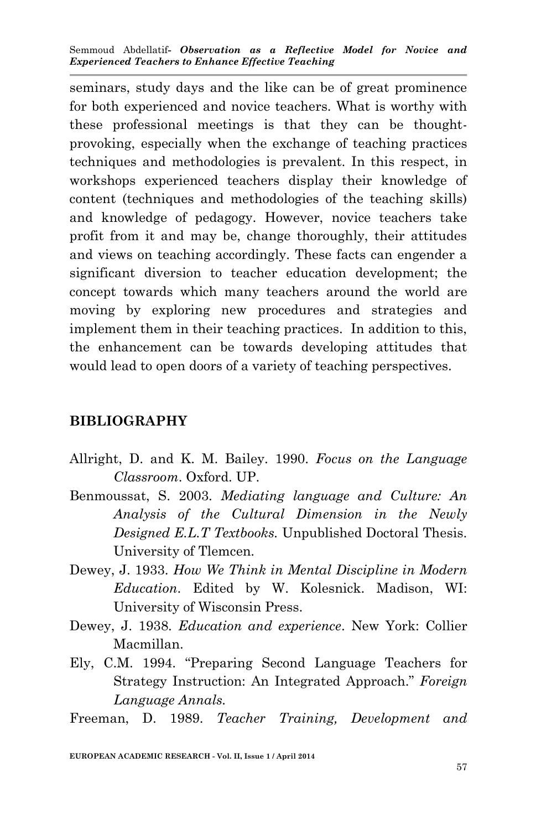seminars, study days and the like can be of great prominence for both experienced and novice teachers. What is worthy with these professional meetings is that they can be thoughtprovoking, especially when the exchange of teaching practices techniques and methodologies is prevalent. In this respect, in workshops experienced teachers display their knowledge of content (techniques and methodologies of the teaching skills) and knowledge of pedagogy. However, novice teachers take profit from it and may be, change thoroughly, their attitudes and views on teaching accordingly. These facts can engender a significant diversion to teacher education development; the concept towards which many teachers around the world are moving by exploring new procedures and strategies and implement them in their teaching practices. In addition to this, the enhancement can be towards developing attitudes that would lead to open doors of a variety of teaching perspectives.

#### **BIBLIOGRAPHY**

- Allright, D. and K. M. Bailey. 1990. *Focus on the Language Classroom*. Oxford. UP.
- Benmoussat, S. 2003. *Mediating language and Culture: An Analysis of the Cultural Dimension in the Newly Designed E.L.T Textbooks.* Unpublished Doctoral Thesis. University of Tlemcen.
- Dewey, J. 1933. *How We Think in Mental Discipline in Modern Education*. Edited by W. Kolesnick. Madison, WI: University of Wisconsin Press.
- Dewey, J. 1938. *Education and experience*. New York: Collier Macmillan.
- Ely, C.M. 1994. "Preparing Second Language Teachers for Strategy Instruction: An Integrated Approach." *Foreign Language Annals.*
- Freeman, D. 1989. *Teacher Training, Development and*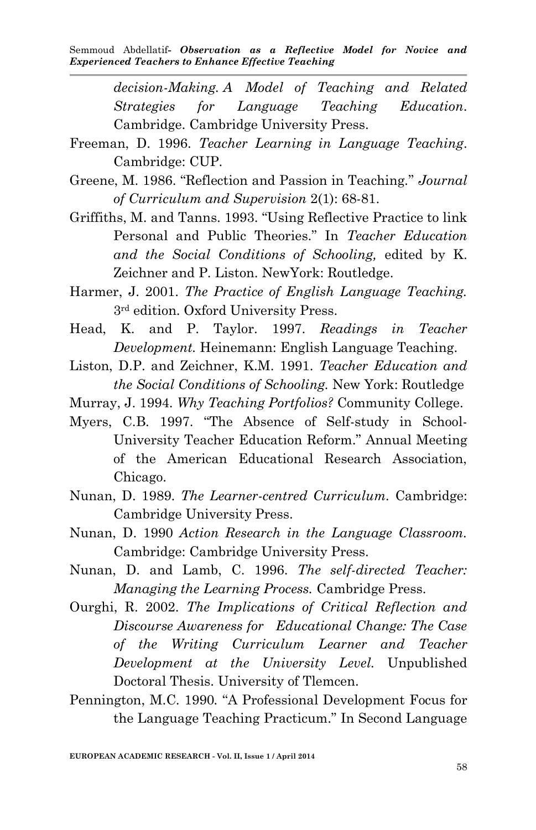> *decision-Making. A Model of Teaching and Related Strategies for Language Teaching Education*. Cambridge. Cambridge University Press.

- Freeman, D. 1996. *Teacher Learning in Language Teaching*. Cambridge: CUP.
- Greene, M. 1986. "Reflection and Passion in Teaching*.*" *Journal of Curriculum and Supervision* 2(1): 68-81.
- Griffiths, M. and Tanns. 1993. "Using Reflective Practice to link Personal and Public Theories." In *Teacher Education and the Social Conditions of Schooling,* edited by K. Zeichner and P. Liston. NewYork: Routledge.
- Harmer, J. 2001. *The Practice of English Language Teaching.* 3rd edition. Oxford University Press.
- Head, K. and P. Taylor. 1997. *Readings in Teacher Development.* Heinemann: English Language Teaching.
- Liston, D.P. and Zeichner, K.M. 1991. *Teacher Education and the Social Conditions of Schooling.* New York: Routledge
- Murray, J. 1994. *Why Teaching Portfolios?* Community College.
- Myers, C.B. 1997. "The Absence of Self-study in School-University Teacher Education Reform." Annual Meeting of the American Educational Research Association, Chicago.
- Nunan, D. 1989. *The Learner-centred Curriculum.* Cambridge: Cambridge University Press.
- Nunan, D. 1990 *Action Research in the Language Classroom.* Cambridge: Cambridge University Press.
- Nunan, D. and Lamb, C. 1996. *The self-directed Teacher: Managing the Learning Process.* Cambridge Press.
- Ourghi, R. 2002. *The Implications of Critical Reflection and Discourse Awareness for Educational Change: The Case of the Writing Curriculum Learner and Teacher Development at the University Level.* Unpublished Doctoral Thesis. University of Tlemcen.
- Pennington, M.C. 1990*.* "A Professional Development Focus for the Language Teaching Practicum." In Second Language